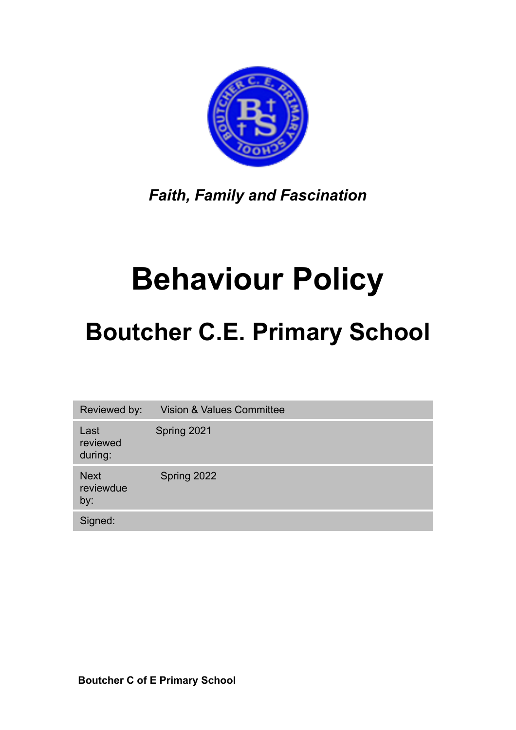

*Faith, Family and Fascination* 

# **Behaviour Policy**

## **Boutcher C.E. Primary School**

Reviewed by: Vision & Values Committee Last reviewed during: Spring 2021 Next reviewdue by: Spring 2022 Signed: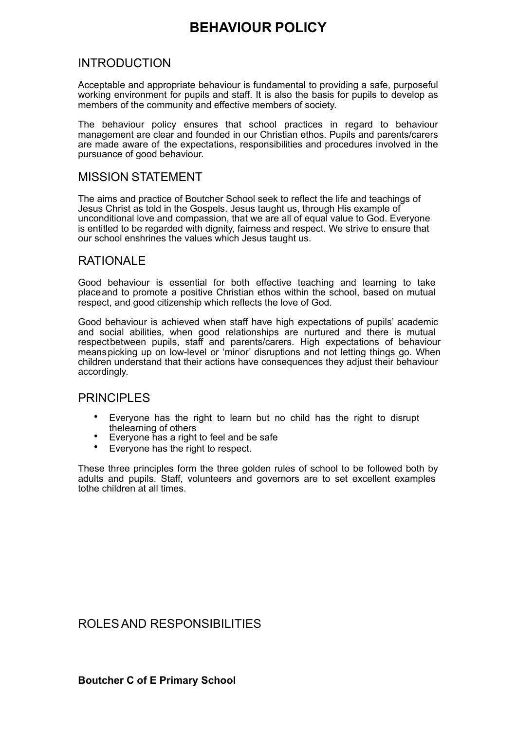## **BEHAVIOUR POLICY**

## INTRODUCTION

Acceptable and appropriate behaviour is fundamental to providing a safe, purposeful working environment for pupils and staff. It is also the basis for pupils to develop as members of the community and effective members of society.

The behaviour policy ensures that school practices in regard to behaviour management are clear and founded in our Christian ethos. Pupils and parents/carers are made aware of the expectations, responsibilities and procedures involved in the pursuance of good behaviour.

## MISSION STATEMENT

The aims and practice of Boutcher School seek to reflect the life and teachings of Jesus Christ as told in the Gospels. Jesus taught us, through His example of unconditional love and compassion, that we are all of equal value to God. Everyone is entitled to be regarded with dignity, fairness and respect. We strive to ensure that our school enshrines the values which Jesus taught us.

## RATIONALE

Good behaviour is essential for both effective teaching and learning to take placeand to promote a positive Christian ethos within the school, based on mutual respect, and good citizenship which reflects the love of God.

Good behaviour is achieved when staff have high expectations of pupils' academic and social abilities, when good relationships are nurtured and there is mutual respectbetween pupils, staff and parents/carers. High expectations of behaviour meanspicking up on low-level or 'minor' disruptions and not letting things go. When children understand that their actions have consequences they adjust their behaviour accordingly.

## **PRINCIPLES**

- Everyone has the right to learn but no child has the right to disrupt the learning of others
- Everyone has a right to feel and be safe
- Everyone has the right to respect.

These three principles form the three golden rules of school to be followed both by adults and pupils. Staff, volunteers and governors are to set excellent examples tothe children at all times.

## ROLESAND RESPONSIBILITIES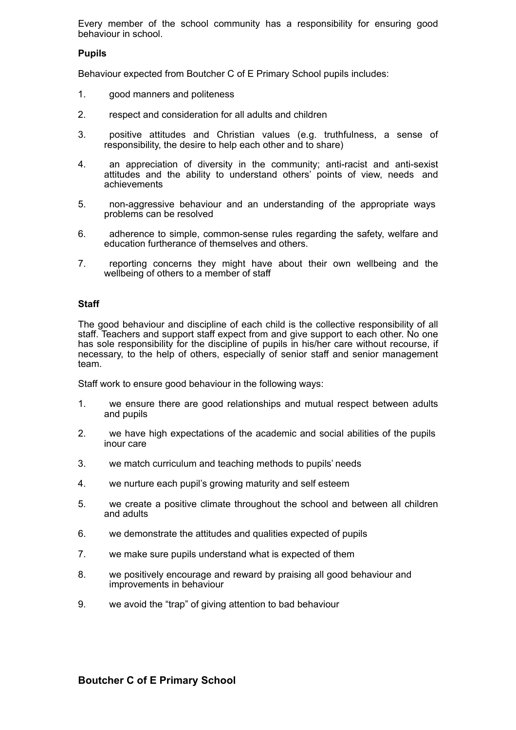Every member of the school community has a responsibility for ensuring good behaviour in school.

#### **Pupils**

Behaviour expected from Boutcher C of E Primary School pupils includes:

- 1. good manners and politeness
- 2. respect and consideration for all adults and children
- 3. positive attitudes and Christian values (e.g. truthfulness, a sense of responsibility, the desire to help each other and to share)
- 4. an appreciation of diversity in the community; anti-racist and anti-sexist attitudes and the ability to understand others' points of view, needs and achievements
- 5. non-aggressive behaviour and an understanding of the appropriate ways problems can be resolved
- 6. adherence to simple, common-sense rules regarding the safety, welfare and education furtherance of themselves and others.
- 7. reporting concerns they might have about their own wellbeing and the wellbeing of others to a member of staff

#### **Staff**

The good behaviour and discipline of each child is the collective responsibility of all staff. Teachers and support staff expect from and give support to each other. No one has sole responsibility for the discipline of pupils in his/her care without recourse, if necessary, to the help of others, especially of senior staff and senior management team.

Staff work to ensure good behaviour in the following ways:

- 1. we ensure there are good relationships and mutual respect between adults and pupils
- 2. we have high expectations of the academic and social abilities of the pupils inour care
- 3. we match curriculum and teaching methods to pupils' needs
- 4. we nurture each pupil's growing maturity and self esteem
- 5. we create a positive climate throughout the school and between all children and adults
- 6. we demonstrate the attitudes and qualities expected of pupils
- 7. we make sure pupils understand what is expected of them
- 8. we positively encourage and reward by praising all good behaviour and improvements in behaviour
- 9. we avoid the "trap" of giving attention to bad behaviour

#### **Boutcher C of E Primary School**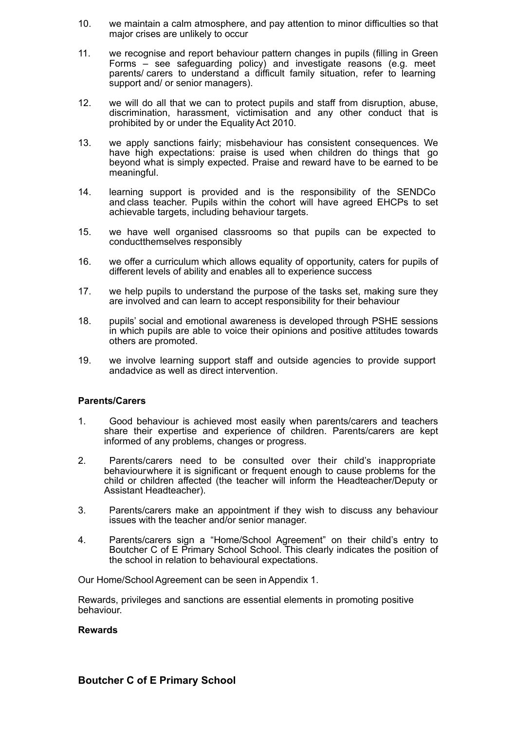- 10. we maintain a calm atmosphere, and pay attention to minor difficulties so that major crises are unlikely to occur
- 11. we recognise and report behaviour pattern changes in pupils (filling in Green Forms – see safeguarding policy) and investigate reasons (e.g. meet parents/ carers to understand a difficult family situation, refer to learning support and/ or senior managers).
- 12. we will do all that we can to protect pupils and staff from disruption, abuse, discrimination, harassment, victimisation and any other conduct that is prohibited by or under the EqualityAct 2010.
- 13. we apply sanctions fairly; misbehaviour has consistent consequences. We have high expectations: praise is used when children do things that go beyond what is simply expected. Praise and reward have to be earned to be meaningful.
- 14. learning support is provided and is the responsibility of the SENDCo and class teacher. Pupils within the cohort will have agreed EHCPs to set achievable targets, including behaviour targets.
- 15. we have well organised classrooms so that pupils can be expected to conductthemselves responsibly
- 16. we offer a curriculum which allows equality of opportunity, caters for pupils of different levels of ability and enables all to experience success
- 17. we help pupils to understand the purpose of the tasks set, making sure they are involved and can learn to accept responsibility for their behaviour
- 18. pupils' social and emotional awareness is developed through PSHE sessions in which pupils are able to voice their opinions and positive attitudes towards others are promoted.
- 19. we involve learning support staff and outside agencies to provide support andadvice as well as direct intervention.

#### **Parents/Carers**

- 1. Good behaviour is achieved most easily when parents/carers and teachers share their expertise and experience of children. Parents/carers are kept informed of any problems, changes or progress.
- 2. Parents/carers need to be consulted over their child's inappropriate behaviourwhere it is significant or frequent enough to cause problems for the child or children affected (the teacher will inform the Headteacher/Deputy or Assistant Headteacher).
- 3. Parents/carers make an appointment if they wish to discuss any behaviour issues with the teacher and/or senior manager.
- 4. Parents/carers sign a "Home/School Agreement" on their child's entry to Boutcher C of E Primary School School. This clearly indicates the position of the school in relation to behavioural expectations.

Our Home/School Agreement can be seen in Appendix 1.

Rewards, privileges and sanctions are essential elements in promoting positive behaviour.

#### **Rewards**

#### **Boutcher C of E Primary School**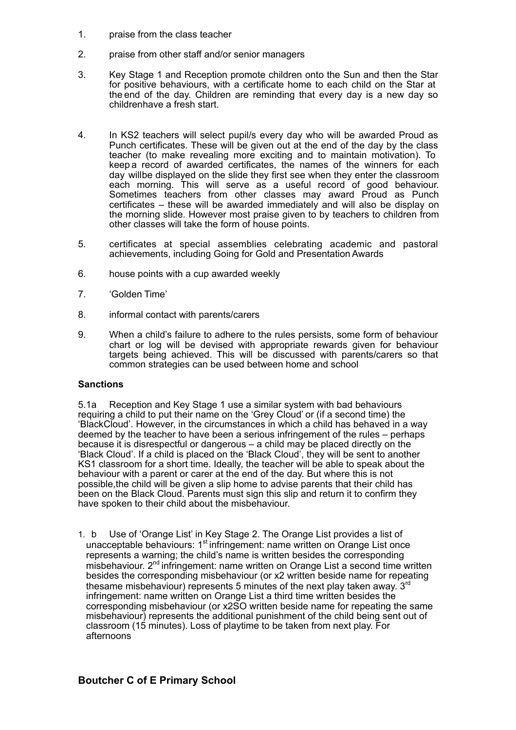- 1. praise from the class teacher
- 2. praise from other staff and/or senior managers
- 3. Key Stage 1 and Reception promote children onto the Sun and then the Star for positive behaviours, with a certificate home to each child on the Star at the end of the day. Children are reminding that every day is a new day so childrenhave a fresh start.
- 4. In KS2 teachers will select pupil/s every day who will be awarded Proud as Punch certificates. These will be given out at the end of the day by the class teacher (to make revealing more exciting and to maintain motivation). To keep a record of awarded certificates, the names of the winners for each day willbe displayed on the slide they first see when they enter the classroom each morning. This will serve as a useful record of good behaviour. Sometimes teachers from other classes may award Proud as Punch certificates – these will be awarded immediately and will also be display on the morning slide. However most praise given to by teachers to children from other classes will take the form of house points.
- 5. certificates at special assemblies celebrating academic and pastoral achievements, including Going for Gold and PresentationAwards
- 6. house points with a cup awarded weekly
- 7. 'Golden Time'
- 8. informal contact with parents/carers
- 9. When a child's failure to adhere to the rules persists, some form of behaviour chart or log will be devised with appropriate rewards given for behaviour targets being achieved. This will be discussed with parents/carers so that common strategies can be used between home and school

#### **Sanctions**

5.1a Reception and Key Stage 1 use a similar system with bad behaviours requiring a child to put their name on the 'Grey Cloud' or (if a second time) the 'BlackCloud'. However, in the circumstances in which a child has behaved in a way deemed by the teacher to have been a serious infringement of the rules – perhaps because it is disrespectful or dangerous – a child may be placed directly on the 'Black Cloud'. If a child is placed on the 'Black Cloud', they will be sent to another KS1 classroom for a short time. Ideally, the teacher will be able to speak about the behaviour with a parent or carer at the end of the day. But where this is not possible,the child will be given a slip home to advise parents that their child has been on the Black Cloud. Parents must sign this slip and return it to confirm they have spoken to their child about the misbehaviour.

1. b Use of 'Orange List' in Key Stage 2. The Orange List provides a list of unacceptable behaviours: 1<sup>st</sup> infringement: name written on Orange List once represents a warning; the child's name is written besides the corresponding misbehaviour. 2<sup>nd</sup> infringement: name written on Orange List a second time written besides the corresponding misbehaviour (or x2 written beside name for repeating thesame misbehaviour) represents 5 minutes of the next play taken away.  $3<sup>rd</sup>$ infringement: name written on Orange List a third time written besides the corresponding misbehaviour (or x2SO written beside name for repeating the same misbehaviour) represents the additional punishment of the child being sent out of classroom (15 minutes). Loss of playtime to be taken from next play. For afternoons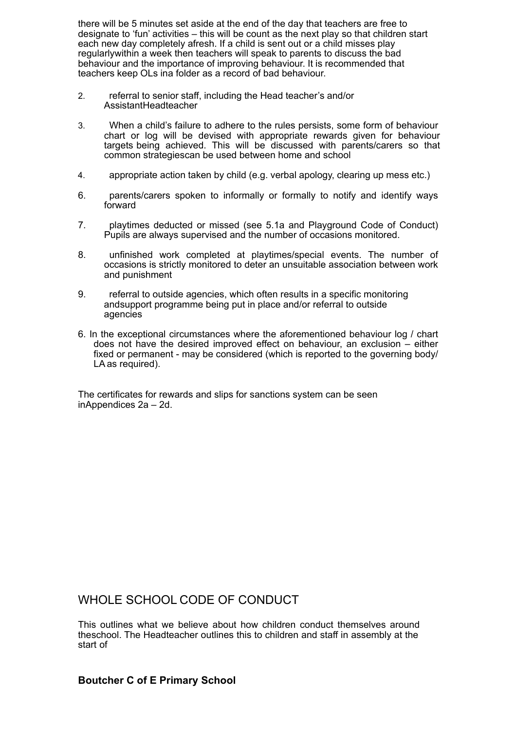there will be 5 minutes set aside at the end of the day that teachers are free to designate to 'fun' activities – this will be count as the next play so that children start each new day completely afresh. If a child is sent out or a child misses play regularlywithin a week then teachers will speak to parents to discuss the bad behaviour and the importance of improving behaviour. It is recommended that teachers keep OLs ina folder as a record of bad behaviour.

- 2. referral to senior staff, including the Head teacher's and/or AssistantHeadteacher
- 3. When a child's failure to adhere to the rules persists, some form of behaviour chart or log will be devised with appropriate rewards given for behaviour targets being achieved. This will be discussed with parents/carers so that common strategiescan be used between home and school
- 4. appropriate action taken by child (e.g. verbal apology, clearing up mess etc.)
- 6. parents/carers spoken to informally or formally to notify and identify ways forward
- 7. playtimes deducted or missed (see 5.1a and Playground Code of Conduct) Pupils are always supervised and the number of occasions monitored.
- 8. unfinished work completed at playtimes/special events. The number of occasions is strictly monitored to deter an unsuitable association between work and punishment
- 9. referral to outside agencies, which often results in a specific monitoring andsupport programme being put in place and/or referral to outside agencies
- 6. In the exceptional circumstances where the aforementioned behaviour log / chart does not have the desired improved effect on behaviour, an exclusion – either fixed or permanent - may be considered (which is reported to the governing body/ LAas required).

The certificates for rewards and slips for sanctions system can be seen inAppendices 2a – 2d.

## WHOLE SCHOOL CODE OF CONDUCT

This outlines what we believe about how children conduct themselves around theschool. The Headteacher outlines this to children and staff in assembly at the start of

### **Boutcher C of E Primary School**